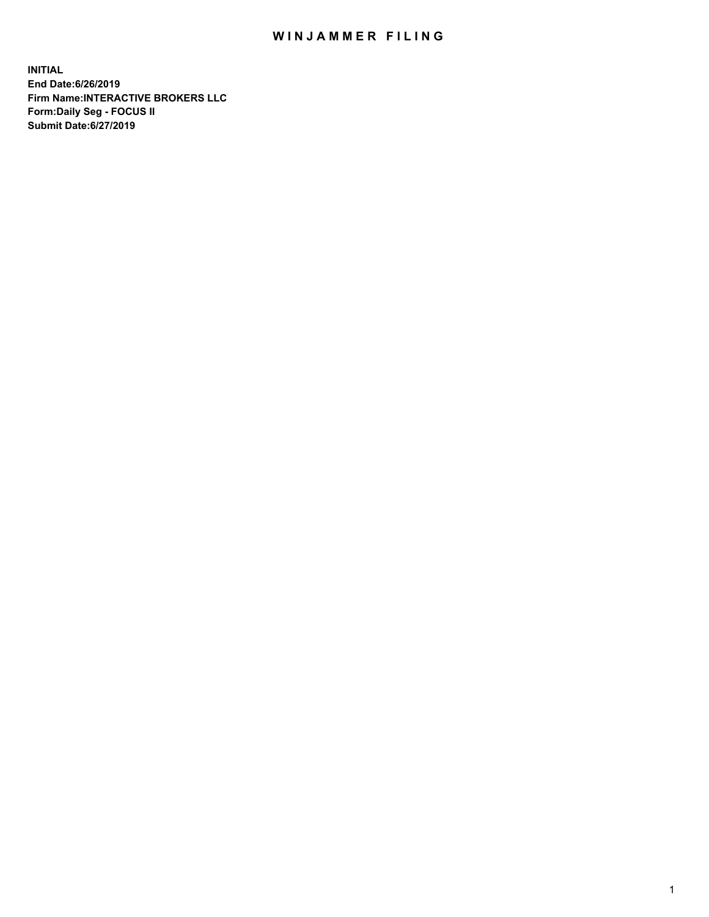## WIN JAMMER FILING

**INITIAL End Date:6/26/2019 Firm Name:INTERACTIVE BROKERS LLC Form:Daily Seg - FOCUS II Submit Date:6/27/2019**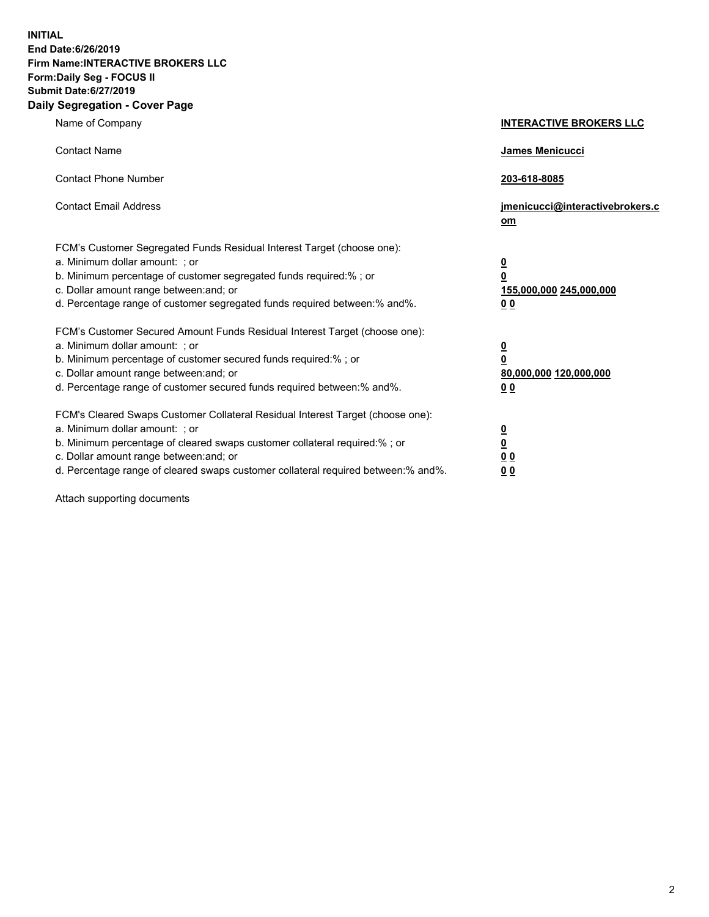**INITIAL End Date:6/26/2019 Firm Name:INTERACTIVE BROKERS LLC Form:Daily Seg - FOCUS II Submit Date:6/27/2019 Daily Segregation - Cover Page**

| Name of Company                                                                                                                                                                                                                                                                                                                | <b>INTERACTIVE BROKERS LLC</b>                                                                  |
|--------------------------------------------------------------------------------------------------------------------------------------------------------------------------------------------------------------------------------------------------------------------------------------------------------------------------------|-------------------------------------------------------------------------------------------------|
| <b>Contact Name</b>                                                                                                                                                                                                                                                                                                            | James Menicucci                                                                                 |
| <b>Contact Phone Number</b>                                                                                                                                                                                                                                                                                                    | 203-618-8085                                                                                    |
| <b>Contact Email Address</b>                                                                                                                                                                                                                                                                                                   | jmenicucci@interactivebrokers.c<br>om                                                           |
| FCM's Customer Segregated Funds Residual Interest Target (choose one):<br>a. Minimum dollar amount: ; or<br>b. Minimum percentage of customer segregated funds required:% ; or<br>c. Dollar amount range between: and; or<br>d. Percentage range of customer segregated funds required between:% and%.                         | $\overline{\mathbf{0}}$<br>$\overline{\mathbf{0}}$<br>155,000,000 245,000,000<br>0 <sub>0</sub> |
| FCM's Customer Secured Amount Funds Residual Interest Target (choose one):<br>a. Minimum dollar amount: ; or<br>b. Minimum percentage of customer secured funds required:% ; or<br>c. Dollar amount range between: and; or<br>d. Percentage range of customer secured funds required between:% and%.                           | $\overline{\mathbf{0}}$<br>0<br>80,000,000 120,000,000<br>0 <sub>0</sub>                        |
| FCM's Cleared Swaps Customer Collateral Residual Interest Target (choose one):<br>a. Minimum dollar amount: ; or<br>b. Minimum percentage of cleared swaps customer collateral required:% ; or<br>c. Dollar amount range between: and; or<br>d. Percentage range of cleared swaps customer collateral required between:% and%. | $\overline{\mathbf{0}}$<br><u>0</u><br>$\underline{0}$ $\underline{0}$<br>00                    |

Attach supporting documents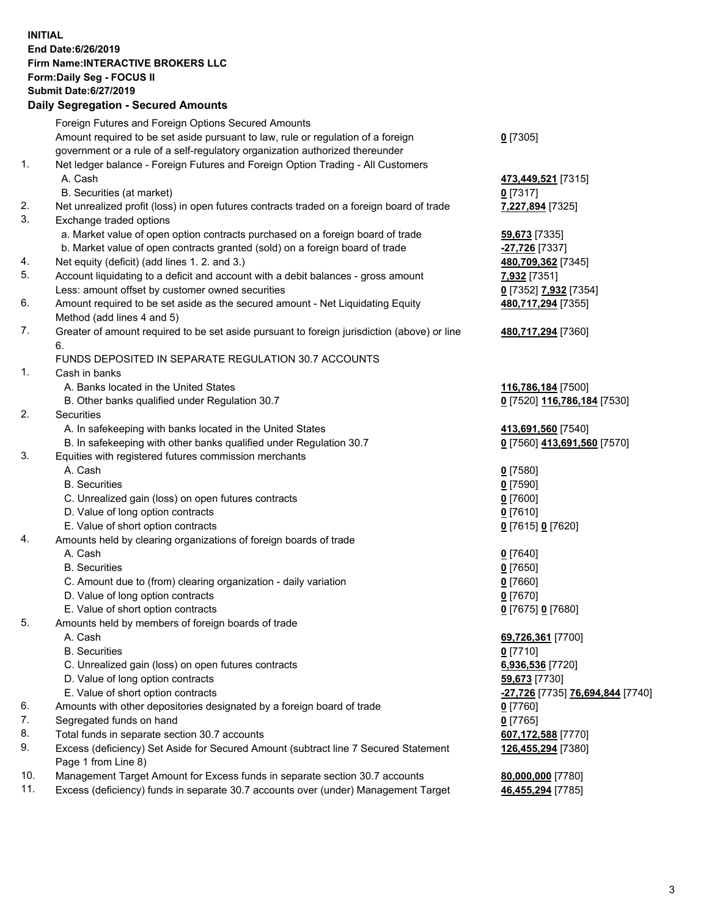## **INITIAL End Date:6/26/2019 Firm Name:INTERACTIVE BROKERS LLC Form:Daily Seg - FOCUS II Submit Date:6/27/2019 Daily Segregation - Secured Amounts**

|                | Daily Ocglegation - Occuled Aniounts                                                              |                                                            |
|----------------|---------------------------------------------------------------------------------------------------|------------------------------------------------------------|
|                | Foreign Futures and Foreign Options Secured Amounts                                               |                                                            |
|                | Amount required to be set aside pursuant to law, rule or regulation of a foreign                  | $0$ [7305]                                                 |
|                | government or a rule of a self-regulatory organization authorized thereunder                      |                                                            |
| $\mathbf{1}$ . | Net ledger balance - Foreign Futures and Foreign Option Trading - All Customers                   |                                                            |
|                | A. Cash                                                                                           | 473,449,521 [7315]                                         |
|                | B. Securities (at market)                                                                         | $0$ [7317]                                                 |
| 2.             | Net unrealized profit (loss) in open futures contracts traded on a foreign board of trade         | 7,227,894 [7325]                                           |
| 3.             | Exchange traded options                                                                           |                                                            |
|                | a. Market value of open option contracts purchased on a foreign board of trade                    | 59,673 [7335]                                              |
|                | b. Market value of open contracts granted (sold) on a foreign board of trade                      | $-27,726$ [7337]                                           |
| 4.             | Net equity (deficit) (add lines 1.2. and 3.)                                                      | 480,709,362 [7345]                                         |
| 5.             | Account liquidating to a deficit and account with a debit balances - gross amount                 | 7,932 [7351]                                               |
|                | Less: amount offset by customer owned securities                                                  | 0 [7352] 7,932 [7354]                                      |
| 6.             | Amount required to be set aside as the secured amount - Net Liquidating Equity                    | 480,717,294 [7355]                                         |
|                | Method (add lines 4 and 5)                                                                        |                                                            |
| 7.             | Greater of amount required to be set aside pursuant to foreign jurisdiction (above) or line<br>6. | 480,717,294 [7360]                                         |
|                | FUNDS DEPOSITED IN SEPARATE REGULATION 30.7 ACCOUNTS                                              |                                                            |
| $\mathbf{1}$ . | Cash in banks                                                                                     |                                                            |
|                | A. Banks located in the United States                                                             | 116,786,184 [7500]                                         |
|                | B. Other banks qualified under Regulation 30.7                                                    | 0 [7520] 116,786,184 [7530]                                |
| 2.             | Securities                                                                                        |                                                            |
|                | A. In safekeeping with banks located in the United States                                         | 413,691,560 [7540]                                         |
|                | B. In safekeeping with other banks qualified under Regulation 30.7                                | 0 [7560] 413,691,560 [7570]                                |
| 3.             | Equities with registered futures commission merchants                                             |                                                            |
|                | A. Cash                                                                                           | $0$ [7580]                                                 |
|                | <b>B.</b> Securities                                                                              | $0$ [7590]                                                 |
|                | C. Unrealized gain (loss) on open futures contracts                                               | $0$ [7600]                                                 |
|                | D. Value of long option contracts                                                                 | $0$ [7610]                                                 |
|                | E. Value of short option contracts                                                                | 0 [7615] 0 [7620]                                          |
| 4.             | Amounts held by clearing organizations of foreign boards of trade                                 |                                                            |
|                | A. Cash                                                                                           | $0$ [7640]                                                 |
|                | <b>B.</b> Securities                                                                              | $0$ [7650]                                                 |
|                | C. Amount due to (from) clearing organization - daily variation                                   | $0$ [7660]                                                 |
|                | D. Value of long option contracts                                                                 | $0$ [7670]                                                 |
|                | E. Value of short option contracts                                                                | 0 [7675] 0 [7680]                                          |
| 5.             | Amounts held by members of foreign boards of trade                                                |                                                            |
|                | A. Cash                                                                                           | 69,726,361 [7700]                                          |
|                | <b>B.</b> Securities                                                                              | $0$ [7710]                                                 |
|                | C. Unrealized gain (loss) on open futures contracts                                               | 6,936,536 [7720]                                           |
|                | D. Value of long option contracts                                                                 | 59,673 [7730]                                              |
|                | E. Value of short option contracts                                                                | <mark>-27,726</mark> [7735] <mark>76,694,844</mark> [7740] |
| 6.             | Amounts with other depositories designated by a foreign board of trade                            | 0 [7760]                                                   |
| 7.             | Segregated funds on hand                                                                          | $0$ [7765]                                                 |
| 8.             | Total funds in separate section 30.7 accounts                                                     | 607,172,588 [7770]                                         |
| 9.             | Excess (deficiency) Set Aside for Secured Amount (subtract line 7 Secured Statement               | 126,455,294 [7380]                                         |
|                | Page 1 from Line 8)                                                                               |                                                            |
| 10.            | Management Target Amount for Excess funds in separate section 30.7 accounts                       | 80,000,000 [7780]                                          |
| 11.            | Excess (deficiency) funds in separate 30.7 accounts over (under) Management Target                | 46,455,294 [7785]                                          |
|                |                                                                                                   |                                                            |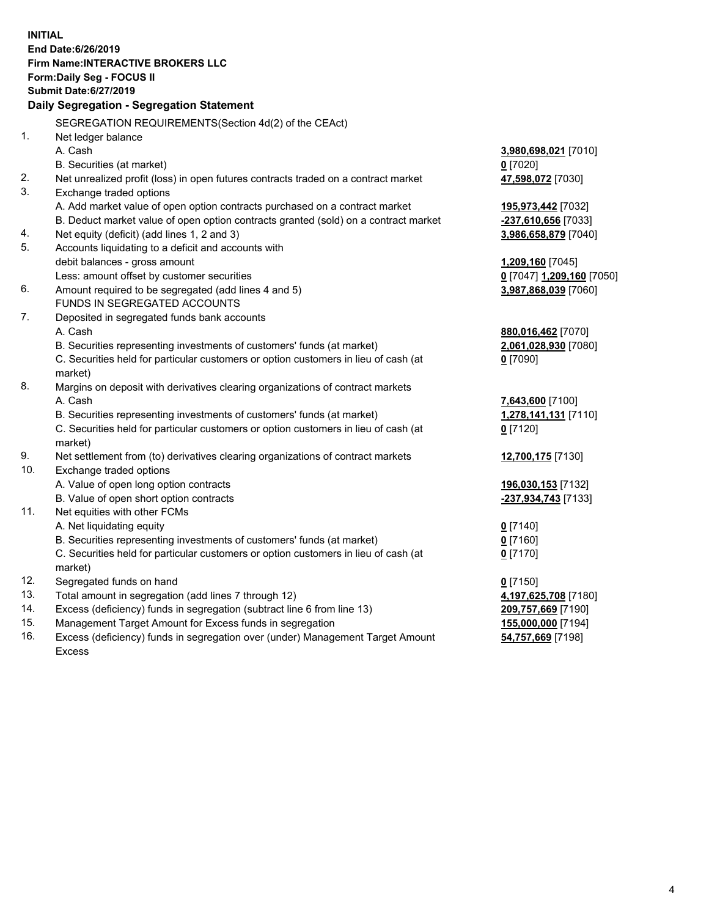**INITIAL End Date:6/26/2019 Firm Name:INTERACTIVE BROKERS LLC Form:Daily Seg - FOCUS II Submit Date:6/27/2019 Daily Segregation - Segregation Statement** SEGREGATION REQUIREMENTS(Section 4d(2) of the CEAct) 1. Net ledger balance A. Cash **3,980,698,021** [7010] B. Securities (at market) **0** [7020] 2. Net unrealized profit (loss) in open futures contracts traded on a contract market **47,598,072** [7030] 3. Exchange traded options A. Add market value of open option contracts purchased on a contract market **195,973,442** [7032] B. Deduct market value of open option contracts granted (sold) on a contract market **-237,610,656** [7033] 4. Net equity (deficit) (add lines 1, 2 and 3) **3,986,658,879** [7040] 5. Accounts liquidating to a deficit and accounts with debit balances - gross amount **1,209,160** [7045] Less: amount offset by customer securities **0** [7047] **1,209,160** [7050] 6. Amount required to be segregated (add lines 4 and 5) **3,987,868,039** [7060] FUNDS IN SEGREGATED ACCOUNTS 7. Deposited in segregated funds bank accounts A. Cash **880,016,462** [7070] B. Securities representing investments of customers' funds (at market) **2,061,028,930** [7080] C. Securities held for particular customers or option customers in lieu of cash (at market) **0** [7090] 8. Margins on deposit with derivatives clearing organizations of contract markets A. Cash **7,643,600** [7100] B. Securities representing investments of customers' funds (at market) **1,278,141,131** [7110] C. Securities held for particular customers or option customers in lieu of cash (at market) **0** [7120] 9. Net settlement from (to) derivatives clearing organizations of contract markets **12,700,175** [7130] 10. Exchange traded options A. Value of open long option contracts **196,030,153** [7132] B. Value of open short option contracts **-237,934,743** [7133] 11. Net equities with other FCMs A. Net liquidating equity **0** [7140] B. Securities representing investments of customers' funds (at market) **0** [7160] C. Securities held for particular customers or option customers in lieu of cash (at market) **0** [7170] 12. Segregated funds on hand **0** [7150] 13. Total amount in segregation (add lines 7 through 12) **4,197,625,708** [7180] 14. Excess (deficiency) funds in segregation (subtract line 6 from line 13) **209,757,669** [7190] 15. Management Target Amount for Excess funds in segregation **155,000,000** [7194]

16. Excess (deficiency) funds in segregation over (under) Management Target Amount Excess

**54,757,669** [7198]